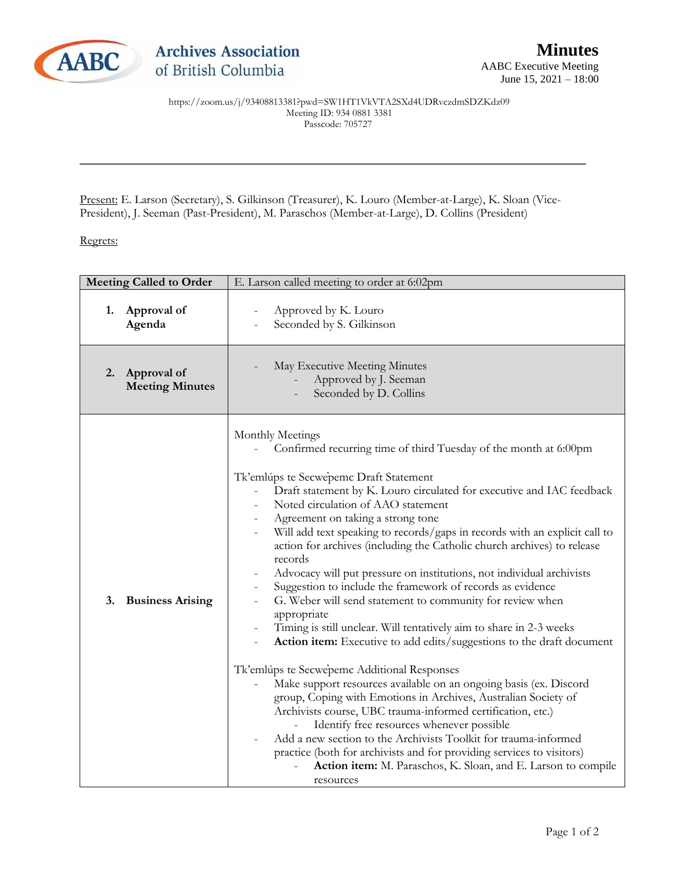

\_\_\_\_\_\_\_\_\_\_\_\_\_\_\_\_\_\_\_\_\_\_\_\_\_\_\_\_\_\_\_\_\_\_\_\_\_\_\_\_\_\_\_\_\_\_\_\_\_\_\_\_\_\_\_\_\_\_\_\_\_\_\_\_\_\_\_\_\_\_\_\_\_\_\_\_\_\_\_\_\_\_\_

Present: E. Larson (Secretary), S. Gilkinson (Treasurer), K. Louro (Member-at-Large), K. Sloan (Vice-President), J. Seeman (Past-President), M. Paraschos (Member-at-Large), D. Collins (President)

## Regrets:

| <b>Meeting Called to Order</b> | E. Larson called meeting to order at 6:02pm                                                                                                                                                                                                                                                                                                                                                                                                                                                                                                                                                                                                                                                                                                                                                                                                                                                                                                                                                                                                                                                                                                                                                                                                                                                                                                           |
|--------------------------------|-------------------------------------------------------------------------------------------------------------------------------------------------------------------------------------------------------------------------------------------------------------------------------------------------------------------------------------------------------------------------------------------------------------------------------------------------------------------------------------------------------------------------------------------------------------------------------------------------------------------------------------------------------------------------------------------------------------------------------------------------------------------------------------------------------------------------------------------------------------------------------------------------------------------------------------------------------------------------------------------------------------------------------------------------------------------------------------------------------------------------------------------------------------------------------------------------------------------------------------------------------------------------------------------------------------------------------------------------------|
| Approval of                    | Approved by K. Louro                                                                                                                                                                                                                                                                                                                                                                                                                                                                                                                                                                                                                                                                                                                                                                                                                                                                                                                                                                                                                                                                                                                                                                                                                                                                                                                                  |
| 1.                             | $\overline{\phantom{0}}$                                                                                                                                                                                                                                                                                                                                                                                                                                                                                                                                                                                                                                                                                                                                                                                                                                                                                                                                                                                                                                                                                                                                                                                                                                                                                                                              |
| Agenda                         | Seconded by S. Gilkinson                                                                                                                                                                                                                                                                                                                                                                                                                                                                                                                                                                                                                                                                                                                                                                                                                                                                                                                                                                                                                                                                                                                                                                                                                                                                                                                              |
| Approval of                    | May Executive Meeting Minutes                                                                                                                                                                                                                                                                                                                                                                                                                                                                                                                                                                                                                                                                                                                                                                                                                                                                                                                                                                                                                                                                                                                                                                                                                                                                                                                         |
| 2.                             | Approved by J. Seeman                                                                                                                                                                                                                                                                                                                                                                                                                                                                                                                                                                                                                                                                                                                                                                                                                                                                                                                                                                                                                                                                                                                                                                                                                                                                                                                                 |
| <b>Meeting Minutes</b>         | Seconded by D. Collins                                                                                                                                                                                                                                                                                                                                                                                                                                                                                                                                                                                                                                                                                                                                                                                                                                                                                                                                                                                                                                                                                                                                                                                                                                                                                                                                |
| 3.<br><b>Business Arising</b>  | Monthly Meetings<br>Confirmed recurring time of third Tuesday of the month at 6:00pm<br>Tk'emlúps te Secwepemc Draft Statement<br>Draft statement by K. Louro circulated for executive and IAC feedback<br>Noted circulation of AAO statement<br>Agreement on taking a strong tone<br>Will add text speaking to records/gaps in records with an explicit call to<br>action for archives (including the Catholic church archives) to release<br>records<br>Advocacy will put pressure on institutions, not individual archivists<br>Suggestion to include the framework of records as evidence<br>G. Weber will send statement to community for review when<br>appropriate<br>Timing is still unclear. Will tentatively aim to share in 2-3 weeks<br>Action item: Executive to add edits/suggestions to the draft document<br>Tk'emlúps te Secwepemc Additional Responses<br>Make support resources available on an ongoing basis (ex. Discord<br>group, Coping with Emotions in Archives, Australian Society of<br>Archivists course, UBC trauma-informed certification, etc.)<br>Identify free resources whenever possible<br>Add a new section to the Archivists Toolkit for trauma-informed<br>practice (both for archivists and for providing services to visitors)<br>Action item: M. Paraschos, K. Sloan, and E. Larson to compile<br>resources |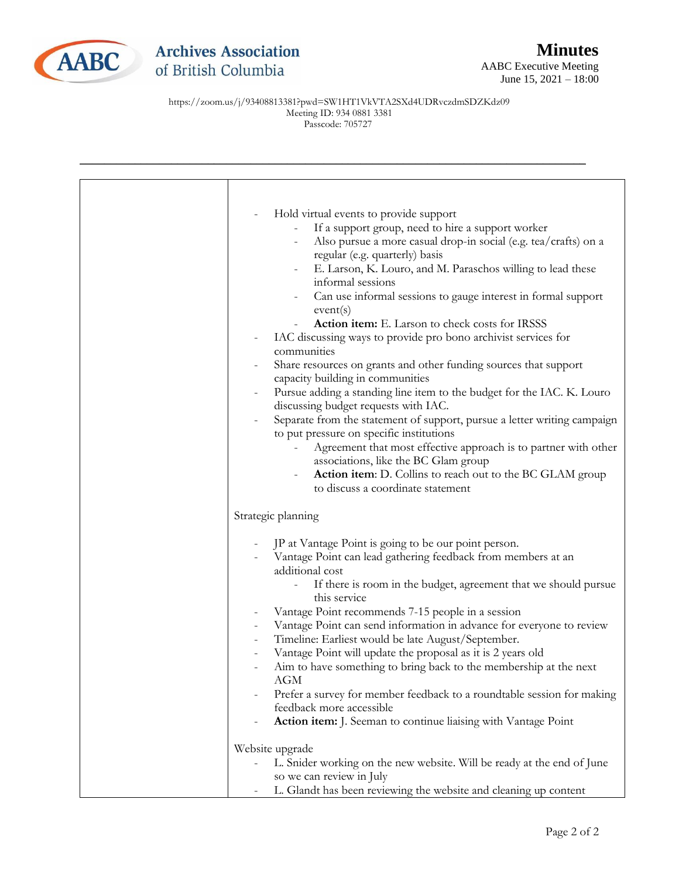

## **Archives Association** of British Columbia

https://zoom.us/j/93408813381?pwd=SW1HT1VkVTA2SXd4UDRvczdmSDZKdz09 Meeting ID: 934 0881 3381 Passcode: 705727

| $\overline{a}$                                                                                |
|-----------------------------------------------------------------------------------------------|
| Hold virtual events to provide support<br>If a support group, need to hire a support worker   |
| Also pursue a more casual drop-in social (e.g. tea/crafts) on a                               |
| regular (e.g. quarterly) basis                                                                |
| E. Larson, K. Louro, and M. Paraschos willing to lead these                                   |
| informal sessions                                                                             |
| Can use informal sessions to gauge interest in formal support                                 |
| event(s)                                                                                      |
| Action item: E. Larson to check costs for IRSSS                                               |
| IAC discussing ways to provide pro bono archivist services for                                |
| communities                                                                                   |
| Share resources on grants and other funding sources that support                              |
| capacity building in communities                                                              |
| Pursue adding a standing line item to the budget for the IAC. K. Louro                        |
| discussing budget requests with IAC.                                                          |
| Separate from the statement of support, pursue a letter writing campaign<br>$\qquad \qquad -$ |
| to put pressure on specific institutions                                                      |
| Agreement that most effective approach is to partner with other                               |
| associations, like the BC Glam group                                                          |
| Action item: D. Collins to reach out to the BC GLAM group                                     |
| to discuss a coordinate statement                                                             |
|                                                                                               |
| Strategic planning                                                                            |
|                                                                                               |
| JP at Vantage Point is going to be our point person.                                          |
| Vantage Point can lead gathering feedback from members at an<br>additional cost               |
| If there is room in the budget, agreement that we should pursue                               |
| this service                                                                                  |
| Vantage Point recommends 7-15 people in a session                                             |
| Vantage Point can send information in advance for everyone to review                          |
| Timeline: Earliest would be late August/September.                                            |
| Vantage Point will update the proposal as it is 2 years old                                   |
| Aim to have something to bring back to the membership at the next                             |
| AGM                                                                                           |
| Prefer a survey for member feedback to a roundtable session for making                        |
| feedback more accessible                                                                      |
| Action item: J. Seeman to continue liaising with Vantage Point                                |
|                                                                                               |
| Website upgrade                                                                               |
| L. Snider working on the new website. Will be ready at the end of June                        |
| so we can review in July                                                                      |
| L. Glandt has been reviewing the website and cleaning up content                              |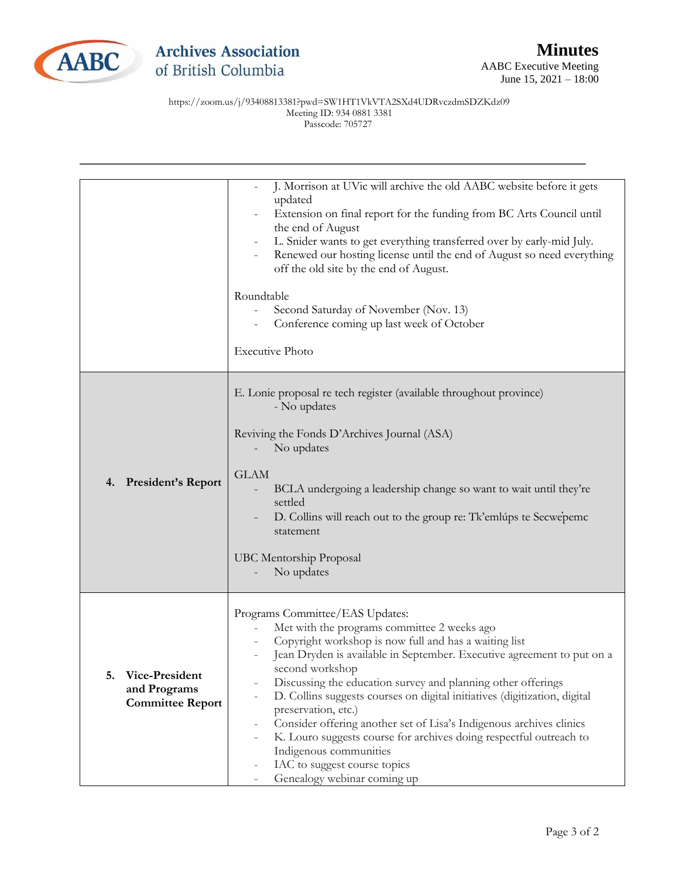

|                                                                 | J. Morrison at UVic will archive the old AABC website before it gets<br>updated<br>Extension on final report for the funding from BC Arts Council until<br>the end of August<br>L. Snider wants to get everything transferred over by early-mid July.<br>Renewed our hosting license until the end of August so need everything<br>off the old site by the end of August.<br>Roundtable<br>Second Saturday of November (Nov. 13)<br>Conference coming up last week of October<br><b>Executive Photo</b>                                                                                                                                                                    |
|-----------------------------------------------------------------|----------------------------------------------------------------------------------------------------------------------------------------------------------------------------------------------------------------------------------------------------------------------------------------------------------------------------------------------------------------------------------------------------------------------------------------------------------------------------------------------------------------------------------------------------------------------------------------------------------------------------------------------------------------------------|
| <b>President's Report</b><br>4.                                 | E. Lonie proposal re tech register (available throughout province)<br>- No updates<br>Reviving the Fonds D'Archives Journal (ASA)<br>No updates<br><b>GLAM</b><br>BCLA undergoing a leadership change so want to wait until they're<br>settled<br>D. Collins will reach out to the group re: Tk'emlúps te Secwe'pemc<br>statement<br><b>UBC Mentorship Proposal</b><br>No updates                                                                                                                                                                                                                                                                                          |
| Vice-President<br>5.<br>and Programs<br><b>Committee Report</b> | Programs Committee/EAS Updates:<br>Met with the programs committee 2 weeks ago<br>Copyright workshop is now full and has a waiting list<br>Jean Dryden is available in September. Executive agreement to put on a<br>second workshop<br>Discussing the education survey and planning other offerings<br>D. Collins suggests courses on digital initiatives (digitization, digital<br>preservation, etc.)<br>Consider offering another set of Lisa's Indigenous archives clinics<br>K. Louro suggests course for archives doing respectful outreach to<br>$\overline{\phantom{a}}$<br>Indigenous communities<br>IAC to suggest course topics<br>Genealogy webinar coming up |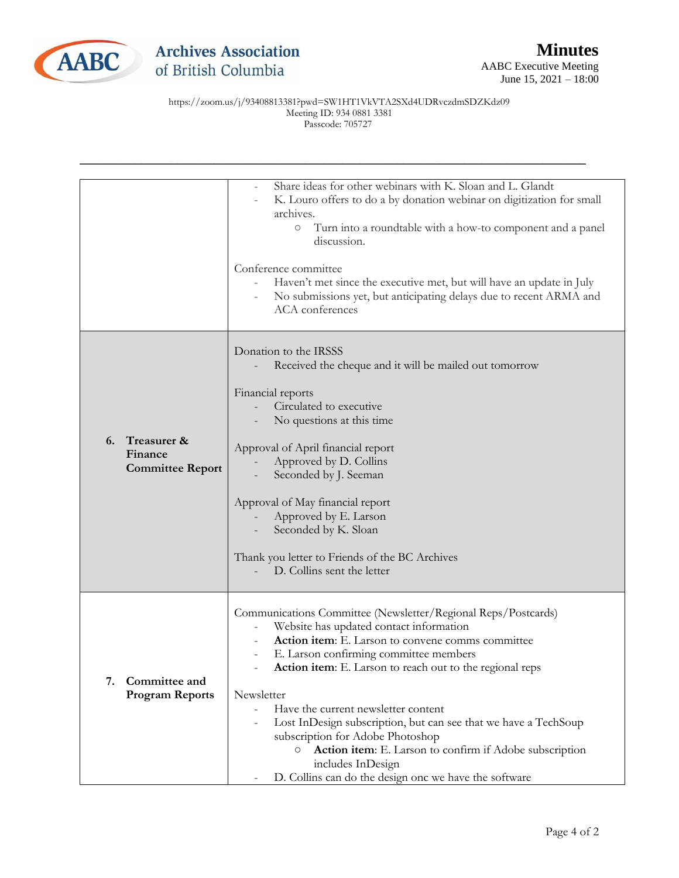

|                                                         | Share ideas for other webinars with K. Sloan and L. Glandt<br>K. Louro offers to do a by donation webinar on digitization for small<br>archives.<br>Turn into a roundtable with a how-to component and a panel<br>$\bigcirc$<br>discussion.<br>Conference committee<br>Haven't met since the executive met, but will have an update in July<br>No submissions yet, but anticipating delays due to recent ARMA and<br>ACA conferences                                                                                                                                                                                        |
|---------------------------------------------------------|-----------------------------------------------------------------------------------------------------------------------------------------------------------------------------------------------------------------------------------------------------------------------------------------------------------------------------------------------------------------------------------------------------------------------------------------------------------------------------------------------------------------------------------------------------------------------------------------------------------------------------|
| Treasurer &<br>6.<br>Finance<br><b>Committee Report</b> | Donation to the IRSSS<br>Received the cheque and it will be mailed out tomorrow<br>Financial reports<br>Circulated to executive<br>No questions at this time<br>Approval of April financial report<br>Approved by D. Collins<br>Seconded by J. Seeman<br>Approval of May financial report<br>Approved by E. Larson<br>Seconded by K. Sloan<br>Thank you letter to Friends of the BC Archives<br>D. Collins sent the letter                                                                                                                                                                                                  |
| Committee and<br>7.<br><b>Program Reports</b>           | Communications Committee (Newsletter/Regional Reps/Postcards)<br>Website has updated contact information<br>Action item: E. Larson to convene comms committee<br>E. Larson confirming committee members<br>Action item: E. Larson to reach out to the regional reps<br>Newsletter<br>Have the current newsletter content<br>$\equiv$<br>Lost InDesign subscription, but can see that we have a TechSoup<br>$\overline{\phantom{a}}$<br>subscription for Adobe Photoshop<br>Action item: E. Larson to confirm if Adobe subscription<br>$\circ$<br>includes InDesign<br>D. Collins can do the design onc we have the software |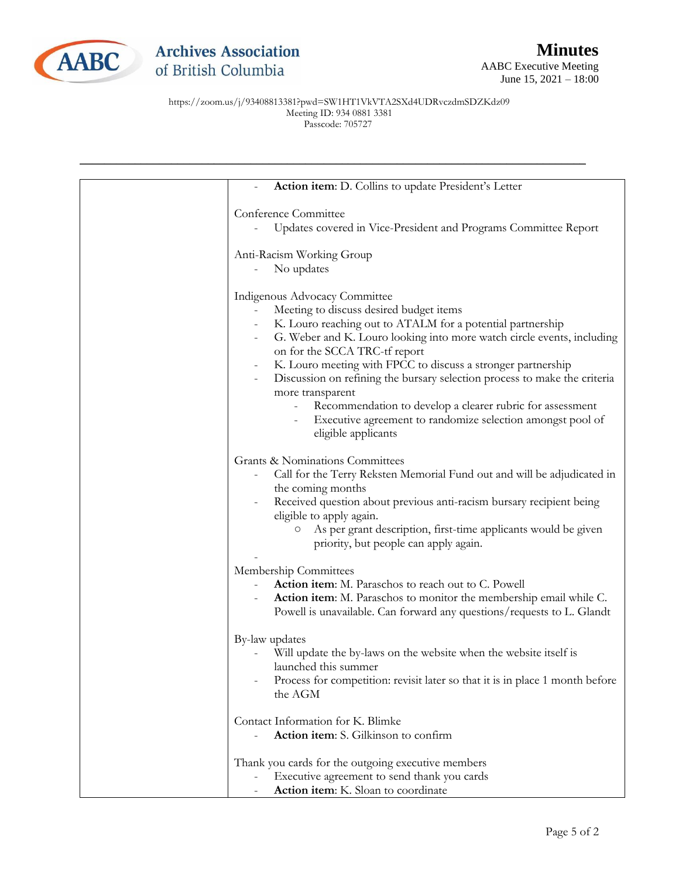

| Action item: D. Collins to update President's Letter                                                                                                                                                                                                                                                                                                                                                                                                                                                                                                                                             |
|--------------------------------------------------------------------------------------------------------------------------------------------------------------------------------------------------------------------------------------------------------------------------------------------------------------------------------------------------------------------------------------------------------------------------------------------------------------------------------------------------------------------------------------------------------------------------------------------------|
| Conference Committee<br>Updates covered in Vice-President and Programs Committee Report                                                                                                                                                                                                                                                                                                                                                                                                                                                                                                          |
| Anti-Racism Working Group<br>No updates                                                                                                                                                                                                                                                                                                                                                                                                                                                                                                                                                          |
| Indigenous Advocacy Committee<br>Meeting to discuss desired budget items<br>K. Louro reaching out to ATALM for a potential partnership<br>G. Weber and K. Louro looking into more watch circle events, including<br>on for the SCCA TRC-tf report<br>K. Louro meeting with FPCC to discuss a stronger partnership<br>Discussion on refining the bursary selection process to make the criteria<br>$\overline{\phantom{a}}$<br>more transparent<br>Recommendation to develop a clearer rubric for assessment<br>Executive agreement to randomize selection amongst pool of<br>eligible applicants |
| Grants & Nominations Committees<br>Call for the Terry Reksten Memorial Fund out and will be adjudicated in<br>the coming months<br>Received question about previous anti-racism bursary recipient being<br>eligible to apply again.<br>As per grant description, first-time applicants would be given<br>О<br>priority, but people can apply again.                                                                                                                                                                                                                                              |
| Membership Committees<br>Action item: M. Paraschos to reach out to C. Powell<br>Action item: M. Paraschos to monitor the membership email while C.<br>Powell is unavailable. Can forward any questions/requests to L. Glandt                                                                                                                                                                                                                                                                                                                                                                     |
| By-law updates<br>Will update the by-laws on the website when the website itself is<br>launched this summer<br>Process for competition: revisit later so that it is in place 1 month before<br>the AGM                                                                                                                                                                                                                                                                                                                                                                                           |
| Contact Information for K. Blimke<br>Action item: S. Gilkinson to confirm                                                                                                                                                                                                                                                                                                                                                                                                                                                                                                                        |
| Thank you cards for the outgoing executive members<br>Executive agreement to send thank you cards<br>$\qquad \qquad -$<br>Action item: K. Sloan to coordinate                                                                                                                                                                                                                                                                                                                                                                                                                                    |